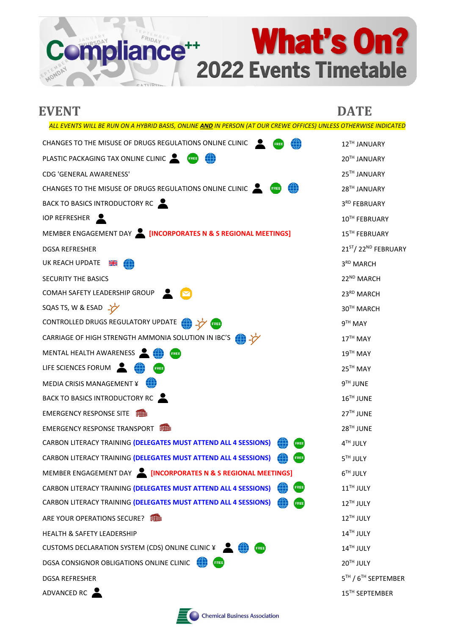**What's On?** 2022 Events Timetable

| <b>EVENT</b>                                                                                                     | <b>DATE</b>                                 |
|------------------------------------------------------------------------------------------------------------------|---------------------------------------------|
| ALL EVENTS WILL BE RUN ON A HYBRID BASIS, ONLINE AND IN PERSON (AT OUR CREWE OFFICES) UNLESS OTHERWISE INDICATED |                                             |
| CHANGES TO THE MISUSE OF DRUGS REGULATIONS ONLINE CLINIC<br>æ<br>FREE                                            | 12TH JANUARY                                |
| PLASTIC PACKAGING TAX ONLINE CLINIC <b>AND THE CONSTI</b> CT OF                                                  | 20TH JANUARY                                |
| CDG 'GENERAL AWARENESS'                                                                                          | 25TH JANUARY                                |
| CHANGES TO THE MISUSE OF DRUGS REGULATIONS ONLINE CLINIC                                                         | 28TH JANUARY                                |
| BACK TO BASICS INTRODUCTORY RC                                                                                   | 3RD FEBRUARY                                |
| <b>IOP REFRESHER</b>                                                                                             | 10TH FEBRUARY                               |
| MEMBER ENGAGEMENT DAY <b>A [INCORPORATES N &amp; S REGIONAL MEETINGS]</b>                                        | 15TH FEBRUARY                               |
| <b>DGSA REFRESHER</b>                                                                                            | 21 <sup>ST</sup> /22 <sup>ND</sup> FEBRUARY |
| UK REACH UPDATE<br>▓<br>⊕                                                                                        | 3 <sup>RD</sup> MARCH                       |
| <b>SECURITY THE BASICS</b>                                                                                       | 22 <sup>ND</sup> MARCH                      |
| COMAH SAFETY LEADERSHIP GROUP                                                                                    | 23RD MARCH                                  |
| SQAS TS, W & ESAD $\frac{1}{2}$                                                                                  | 30TH MARCH                                  |
| CONTROLLED DRUGS REGULATORY UPDATE <b>(A)</b> ->>                                                                | 9TH MAY                                     |
| CARRIAGE OF HIGH STRENGTH AMMONIA SOLUTION IN IBC'S <b>(A)</b> ->>                                               | 17TH MAY                                    |
| MENTAL HEALTH AWARENESS<br>FREE                                                                                  | 19TH MAY                                    |
| LIFE SCIENCES FORUM<br>FREE)                                                                                     | 25 <sup>TH</sup> MAY                        |
| MEDIA CRISIS MANAGEMENT ¥                                                                                        | 9TH JUNE                                    |
| BACK TO BASICS INTRODUCTORY RC                                                                                   | 16TH JUNE                                   |
| <b>EMERGENCY RESPONSE SITE</b>                                                                                   | 27TH JUNE                                   |
| <b>EMERGENCY RESPONSE TRANSPORT</b>                                                                              | 28TH JUNE                                   |
| CARBON LITERACY TRAINING (DELEGATES MUST ATTEND ALL 4 SESSIONS)<br>FREE)                                         | 4TH JULY                                    |
| CARBON LITERACY TRAINING (DELEGATES MUST ATTEND ALL 4 SESSIONS)<br>$[$ FREE                                      | 5TH JULY                                    |
| MEMBER ENGAGEMENT DAY <b>A [INCORPORATES N &amp; S REGIONAL MEETINGS]</b>                                        | 6TH JULY                                    |
| CARBON LITERACY TRAINING (DELEGATES MUST ATTEND ALL 4 SESSIONS)<br><b>FREE</b>                                   | 11 <sup>TH</sup> JULY                       |
| CARBON LITERACY TRAINING (DELEGATES MUST ATTEND ALL 4 SESSIONS)<br><b>FREE</b>                                   | 12TH JULY                                   |
| ARE YOUR OPERATIONS SECURE?<br>用曲                                                                                | 12TH JULY                                   |
| <b>HEALTH &amp; SAFETY LEADERSHIP</b>                                                                            | 14TH JULY                                   |
| CUSTOMS DECLARATION SYSTEM (CDS) ONLINE CLINIC ¥ <b>10 1988</b>                                                  | 14TH JULY                                   |
| DGSA CONSIGNOR OBLIGATIONS ONLINE CLINIC<br>FREE!                                                                | 20TH JULY                                   |
| <b>DGSA REFRESHER</b>                                                                                            | 5TH / 6TH SEPTEMBER                         |
| ADVANCED RC                                                                                                      | 15TH SEPTEMBER                              |

Compliance<sup>++</sup>